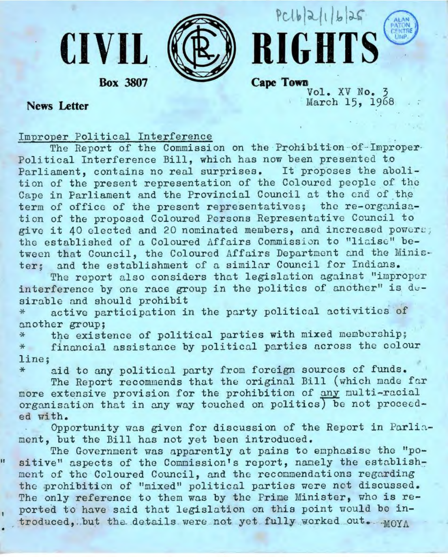



**Box 3807** 

**CIVIL** 

**Cape Town** Vol. XV No. 3 March 15, 1968

# **News Letter**

 $\ast$ 

ū

Improper Political Interference

The Report of the Commission on the Prohibition-of-Improper-Political Interference Bill, which has now been presented to Parliament, contains no real surprises. It proposes the abolition of the present representation of the Coloured people of the Cape in Parliament and the Provincial Council at the end of the term of office of the present representatives; the re-organisation of the proposed Coloured Persons Representative Council to give it 40 elected and 20 nominated members, and increased powers; the established of a Coloured Affairs Commission to "liaise" between that Council, the Coloured Affairs Department and the Minister; and the establishment of a similar Council for Indians.

The report also considers that legislation against "improper interference by one race group in the politics of another" is dusirable and should prohibit

active participation in the party political activities of \* another group:

the existence of political parties with mixed membership; 车 financial assistance by political parties across the colour  $#$ line:

aid to any political party from foreign sources of funds.

The Report recommends that the original Bill (which made far more extensive provision for the prohibition of any multi-racial organisation that in any way touched on politics) be not proceeded with.

Opportunity was given for discussion of the Report in Parliament, but the Bill has not yet been introduced.

The Government was apparently at pains to emphasise the "positive" aspects of the Commission's report, namely the establishment of the Coloured Council, and the recommendations regarding the prohibition of "mixed" political parties were not discussed. The only reference to them was by the Frime Minister, who is reported to have said that legislation on this point would be introduced. but the details were not yet fully worked out. MOYA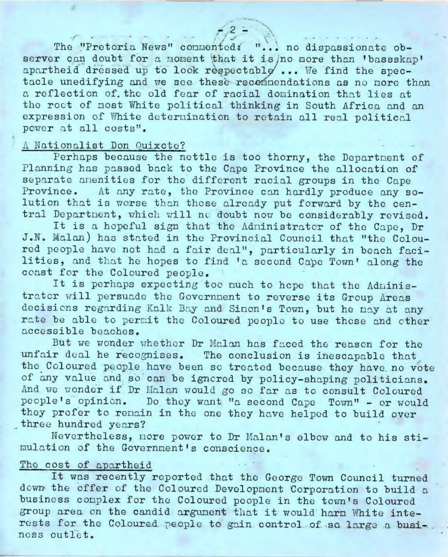The "Pretoria News" connented: "... no dispassionate observer can doubt for a moment that it is no more than 'bassskap' apartheid dressed up to look respectable ... We find the spectacle unedifying and we see these recommendations as no nore than a reflection of the old fear of racial domination that lies at the roct of most White political thinking in South Africa and an expression of White determination to retain all real political power at all costs".

#### A Nationalist Don Quixcte?

Perhaps because the nettle is too thorny, the Department of Planning has passed back to the Cape Province the allocation of separate amenities for the different racial groups in the Cape At any rate, the Province can hardly produce any so-Province. lution that is worse than those already put forward by the central Department, which will no doubt now be considerably revised.

It is a hopeful sign that the Administrator of the Cape, Dr J.N. Malan) has stated in the Provincial Council that "the Coloured people have not had a fair deal", particularly in beach facilities, and that he hopes to find 'a second Cape Town' along the coast for the Coloured people.

It is perhaps expecting too much to hope that the Administrater will persuade the Government to reverse its Group Areas decisions regarding Kalk Bay and Sinon's Town, but he may at any rate be able to permit the Coloured people to use those and other accessible beaches.

But we wonder whether Dr Malan has faced the reason for the unfair deal he recognises. The conclusion is inescapable that the Coloured people have been so treated because they have no vote of any value and so can be ignored by policy-shaping politicians. And we wonder if Dr Malan would go so far as to consult Coloured people's opinion. Do they want "a second Cape Town" - or would they profer to remain in the one they have helped to build over three hundred years?

Nevertheless, nore power to Dr Malan's elbow and to his stimulation of the Government's conscience.

## The cost of apartheid

It was recently reported that the George Town Council turned down the offer of the Coloured Development Corporation to build a business complex for the Coloured people in the town's Coloured group area on the candid argument that it would harm White interests for the Coloured people to gain control of so large a business outlet.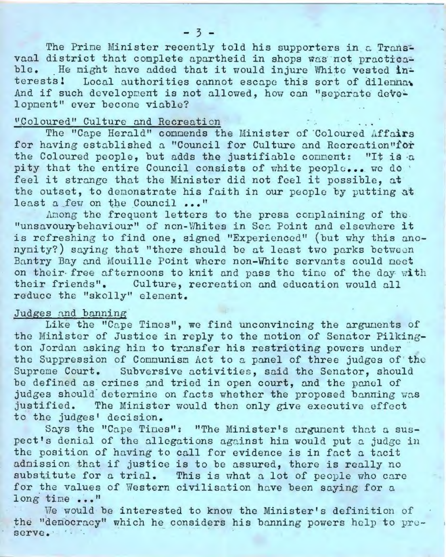The Prime Minister recently told his supporters in a Transvaal district that complete apartheid in shops was not practicable. He might have added that it would injure White vested interests! Local authorities cannot escape this sort of dilennat And if such development is not allowed, how can "separate development" ever become viable?

# "Coloured" Culture and Recreation

The "Cape Herald" connends the Minister of Coloured Affairs for having established a "Council for Culture and Recreation"for the Coloured people, but adds the justifiable comment: "It is a pity that the entire Council consists of white people... we do feel it strange that the Minister did not feel it possible, at the outset, to demonstrate his faith in our people by putting at least a few on the Council ..."

Among the frequent letters to the press complaining of the "unsavoury behaviour" of non-Whites in Sea Point and elsewhere it is refreshing to find one, signed "Experienced" (but why this anonynity?) saying that "there should be at least two parks between Bantry Bay and Mouille Point where non-White servants could neet on their free afternoons to knit and pass the time of the day with their friends". Culture, recreation and education would all reduce the "skolly" element.

# Judges and banning

Like the "Cape Times", we find unconvincing the arguments of the Minister of Justice in reply to the notion of Senator Pilkington Jordan asking hin to transfer his restricting powers under the Suppression of Communism Act to a panel of three judges of the Supreme Court. Subversive activities, said the Senator, should be defined as crimes and tried in open court, and the panel of judges should determine on facts whether the proposed banning was justified. The Minister would then only give executive effect to the judges' decision.

Says the "Cape Tines": "The Minister's argument that a suspect's denial of the allegations against him would put a judge in the position of having to call for evidence is in fact a tacit admission that if justice is to be assured, there is really no substitute for a trial. This is what a lot of people who care for the values of Western civilisation have been saying for a long time ..."

We would be interested to know the Minister's definition of the "democracy" which he considers his banning powers help to preserve.